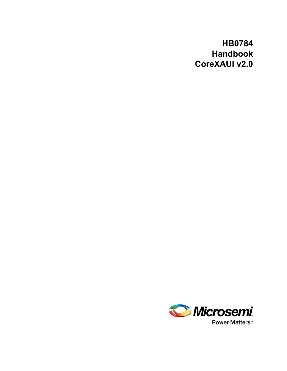## **HB0784 Handbook CoreXAUI v2.0**

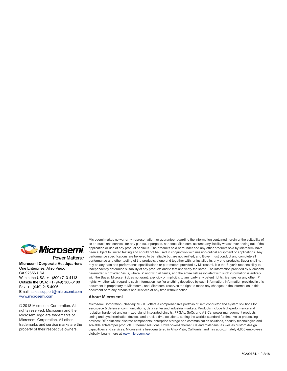

Power Matters.<sup>-</sup>

**Microsemi Corporate Headquarters** One Enterprise, Aliso Viejo, CA 92656 USA Within the USA: +1 (800) 713-4113 Outside the USA: +1 (949) 380-6100 Fax: +1 (949) 215-4996 Email: [sales.support@microsemi.com](mailto:sales.support@microsemi.com) [www.microsemi.com](http://www.microsemi.com)

© 2018 Microsemi Corporation. All rights reserved. Microsemi and the Microsemi logo are trademarks of Microsemi Corporation. All other trademarks and service marks are the property of their respective owners.

Microsemi makes no warranty, representation, or guarantee regarding the information contained herein or the suitability of its products and services for any particular purpose, nor does Microsemi assume any liability whatsoever arising out of the application or use of any product or circuit. The products sold hereunder and any other products sold by Microsemi have been subject to limited testing and should not be used in conjunction with mission-critical equipment or applications. Any performance specifications are believed to be reliable but are not verified, and Buyer must conduct and complete all performance and other testing of the products, alone and together with, or installed in, any end-products. Buyer shall not rely on any data and performance specifications or parameters provided by Microsemi. It is the Buyer's responsibility to independently determine suitability of any products and to test and verify the same. The information provided by Microsemi hereunder is provided "as is, where is" and with all faults, and the entire risk associated with such information is entirely with the Buyer. Microsemi does not grant, explicitly or implicitly, to any party any patent rights, licenses, or any other IP rights, whether with regard to such information itself or anything described by such information. Information provided in this document is proprietary to Microsemi, and Microsemi reserves the right to make any changes to the information in this document or to any products and services at any time without notice.

#### **About Microsemi**

Microsemi Corporation (Nasdaq: MSCC) offers a comprehensive portfolio of semiconductor and system solutions for aerospace & defense, communications, data center and industrial markets. Products include high-performance and radiation-hardened analog mixed-signal integrated circuits, FPGAs, SoCs and ASICs; power management products; timing and synchronization devices and precise time solutions, setting the world's standard for time; voice processing devices; RF solutions; discrete components; enterprise storage and communication solutions, security technologies and scalable anti-tamper products; Ethernet solutions; Power-over-Ethernet ICs and midspans; as well as custom design capabilities and services. Microsemi is headquartered in Aliso Viejo, California, and has approximately 4,800 employees globally. Learn more at www.microsemi.com.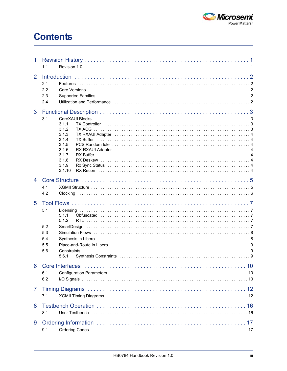

# **Contents**

| 1              | 1.1                                                                                                                                                                                                                                                                               |  |  |  |  |  |
|----------------|-----------------------------------------------------------------------------------------------------------------------------------------------------------------------------------------------------------------------------------------------------------------------------------|--|--|--|--|--|
| $\overline{2}$ | <b>Introduction</b><br>2.1<br>2.2<br>2.3<br>Supported Families (and according to the control of the control of the control of the control of the control of the control of the control of the control of the control of the control of the control of the control of the c<br>2.4 |  |  |  |  |  |
| 3              | 3.1<br>3.1.1<br><b>TX Controller</b><br>3.1.2<br>3.1.3<br>3.1.4<br><b>TX Buffer</b><br>3.1.5<br>3.1.6<br>3.1.7<br>3.1.8<br>3.1.9<br>3.1.10                                                                                                                                        |  |  |  |  |  |
| $\overline{4}$ | 4.1<br>4.2                                                                                                                                                                                                                                                                        |  |  |  |  |  |
| 5              | 5.1<br>5.1.1<br>5.1.2<br>5.2<br>SmartDesign<br>5.3<br>5.4<br>5.5<br>5.6<br>5.6.1                                                                                                                                                                                                  |  |  |  |  |  |
| 6              | <b>Core Interfaces</b><br>6.1<br>6.2                                                                                                                                                                                                                                              |  |  |  |  |  |
| 7              | 7.1                                                                                                                                                                                                                                                                               |  |  |  |  |  |
| 8              | 8.1                                                                                                                                                                                                                                                                               |  |  |  |  |  |
| 9              | 9.1                                                                                                                                                                                                                                                                               |  |  |  |  |  |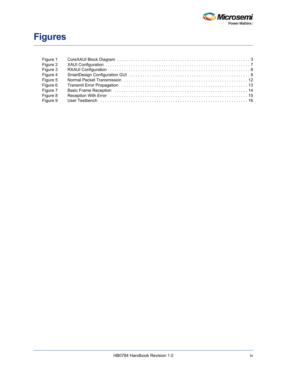

# **Figures**

| Figure 1 |  |
|----------|--|
| Figure 2 |  |
| Figure 3 |  |
| Figure 4 |  |
| Figure 5 |  |
| Figure 6 |  |
| Figure 7 |  |
| Figure 8 |  |
| Figure 9 |  |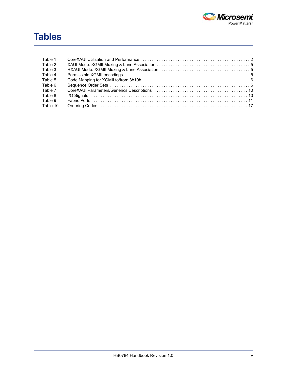

# **Tables**

| Table 1  | CoreXAUI Utilization and Performance (and the context of the core and the core of the core of the core of the c |  |
|----------|-----------------------------------------------------------------------------------------------------------------|--|
| Table 2  |                                                                                                                 |  |
| Table 3  |                                                                                                                 |  |
| Table 4  |                                                                                                                 |  |
| Table 5  |                                                                                                                 |  |
| Table 6  |                                                                                                                 |  |
| Table 7  |                                                                                                                 |  |
| Table 8  |                                                                                                                 |  |
| Table 9  |                                                                                                                 |  |
| Table 10 |                                                                                                                 |  |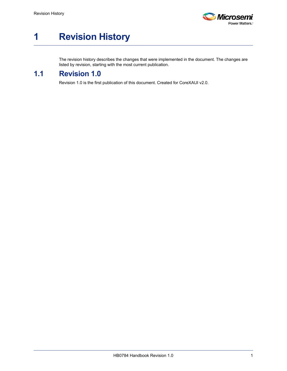

# <span id="page-5-0"></span>**1 Revision History**

The revision history describes the changes that were implemented in the document. The changes are listed by revision, starting with the most current publication.

## <span id="page-5-1"></span>**1.1 Revision 1.0**

Revision 1.0 is the first publication of this document. Created for CoreXAUI v2.0.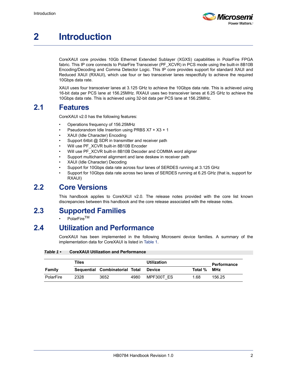

# <span id="page-6-0"></span>**2 Introduction**

CoreXAUI core provides 10Gb Ethernet Extended Sublayer (XGXS) capabilities in PolarFire FPGA fabric. This IP core connects to PolarFire Transceiver (PF\_XCVR) in PCS mode using the built-in 8B10B Encoding/Decoding and Comma Detector Logic. This IP core provides support for standard XAUI and Reduced XAUI (RXAUI), which use four or two transceiver lanes respectfully to achieve the required 10Gbps data rate.

XAUI uses four transceiver lanes at 3.125 GHz to achieve the 10Gbps data rate. This is achieved using 16-bit data per PCS lane at 156.25MHz. RXAUI uses two transceiver lanes at 6.25 GHz to achieve the 10Gbps data rate. This is achieved using 32-bit data per PCS lane at 156.25MHz.

## <span id="page-6-1"></span>**2.1 Features**

CoreXAUI v2.0 has the following features:

- Operations frequency of 156.25MHz
- Pseudorandom Idle Insertion using PRBS X7 + X3 + 1
- XAUI (Idle Character) Encoding
- Support 64bit @ SDR in transmitter and receiver path
- Will use PF\_XCVR built-in 8B10B Encoder
- Will use PF\_XCVR built-in 8B10B Decoder and COMMA word aligner
- Support multichannel alignment and lane deskew in receiver path
- XAUI (Idle Character) Decoding
- Support for 10Gbps data rate across four lanes of SERDES running at 3.125 GHz
- Support for 10Gbps data rate across two lanes of SERDES running at 6.25 GHz (that is, support for RXAUI)

## <span id="page-6-2"></span>**2.2 Core Versions**

This handbook applies to CoreXAUI v2.0. The release notes provided with the core list known discrepancies between this handbook and the core release associated with the release notes.

## <span id="page-6-3"></span>**2.3 Supported Families**

PolarFire<sup>TM</sup>

## <span id="page-6-4"></span>**2.4 Utilization and Performance**

CoreXAUI has been implemented in the following Microsemi device families. A summary of the implementation data for CoreXAUI is listed in [Table 1](#page-6-5).

<span id="page-6-5"></span>*Table 1 •* **CoreXAUI Utilization and Performance**

|           | Tiles |                                |      | Utilization |         | <b>Performance</b> |
|-----------|-------|--------------------------------|------|-------------|---------|--------------------|
| Family    |       | Sequential Combinatorial Total |      | Device      | Total % | <b>MHz</b>         |
| PolarFire | 2328  | 3652                           | 4980 | MPF300T ES  | 1.68    | 156.25             |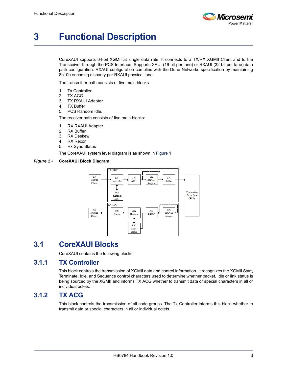

# <span id="page-7-0"></span>**3 Functional Description**

CoreXAUI supports 64-bit XGMII at single data rate. It connects to a TX/RX XGMII Client and to the Transceiver through the PCS Interface. Supports XAUI (16-bit per lane) or RXAUI (32-bit per lane) data path configuration. RXAUI configuration complies with the Dune Networks specification by maintaining 8b10b encoding disparity per RXAUI physical lane.

The transmitter path consists of five main blocks:

- 1. Tx Controller
- 2. TX ACG
- 3. TX RXAUI Adapter
- 4. TX Buffer
- 5. PCS Random Idle.

The receiver path consists of five main blocks:

- 1. RX RXAUI Adapter
- 2. RX Buffer
- 3. RX Deskew
- 4. RX Recon
- 5. Rx Sync Status

The CoreXAUI system level diagram is as shown in [Figure 1.](#page-7-4)

#### <span id="page-7-4"></span>*Figure 1 •* **CoreXAUI Block Diagram**



## <span id="page-7-1"></span>**3.1 CoreXAUI Blocks**

CoreXAUI contains the following blocks:

### <span id="page-7-2"></span>**3.1.1 TX Controller**

This block controls the transmission of XGMII data and control information. It recognizes the XGMII Start, Terminate, Idle, and Sequence control characters used to determine whether packet, Idle or link status is being sourced by the XGMII and informs TX ACG whether to transmit data or special characters in all or individual octets.

### <span id="page-7-3"></span>**3.1.2 TX ACG**

This block controls the transmission of all code groups. The Tx Controller informs this block whether to transmit data or special characters in all or individual octets.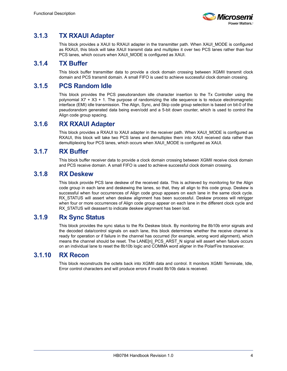

## <span id="page-8-0"></span>**3.1.3 TX RXAUI Adapter**

This block provides a XAUI to RXAUI adapter in the transmitter path. When XAUI\_MODE is configured as RXAUI, this block will take XAUI transmit data and multiplex it over two PCS lanes rather than four PCS lanes, which occurs when XAUI\_MODE is configured as XAUI.

### <span id="page-8-1"></span>**3.1.4 TX Buffer**

This block buffer transmitter data to provide a clock domain crossing between XGMII transmit clock domain and PCS transmit domain. A small FIFO is used to achieve successful clock domain crossing.

### <span id="page-8-2"></span>**3.1.5 PCS Random Idle**

This block provides the PCS pseudorandom idle character insertion to the Tx Controller using the polynomial X7 + X3 + 1. The purpose of randomizing the idle sequence is to reduce electromagnetic interface (EMI) idle transmission. The Align, Sync, and Skip code group selection is based on bit-0 of the pseudorandom generated data being even/odd and a 5-bit down counter, which is used to control the Align code group spacing.

### <span id="page-8-3"></span>**3.1.6 RX RXAUI Adapter**

This block provides a RXAUI to XAUI adapter in the receiver path. When XAUI\_MODE is configured as RXAUI, this block will take two PCS lanes and demultiplex them into XAUI received data rather than demultiplexing four PCS lanes, which occurs when XAUI\_MODE is configured as XAUI.

### <span id="page-8-4"></span>**3.1.7 RX Buffer**

This block buffer receiver data to provide a clock domain crossing between XGMII receive clock domain and PCS receive domain. A small FIFO is used to achieve successful clock domain crossing.

### <span id="page-8-5"></span>**3.1.8 RX Deskew**

This block provide PCS lane deskew of the received data. This is achieved by monitoring for the Align code group in each lane and deskewing the lanes, so that, they all align to this code group. Deskew is successful when four occurrences of Align code group appears on each lane in the same clock cycle. RX\_STATUS will assert when deskew alignment has been successful. Deskew process will retrigger when four or more occurrences of Align code group appear on each lane in the different clock cycle and RX STATUS will deassert to indicate deskew alignment has been lost.

### <span id="page-8-6"></span>**3.1.9 Rx Sync Status**

This block provides the sync status to the Rx Deskew block. By monitoring the 8b10b error signals and the decoded data/control signals on each lane, this block determines whether the receive channel is ready for operation or if failure in the channel has occurred (for example, wrong word alignment), which means the channel should be reset. The LANE[n] PCS ARST N signal will assert when failure occurs on an individual lane to reset the 8b10b logic and COMMA word aligner in the PolarFire transceiver.

### <span id="page-8-7"></span>**3.1.10 RX Recon**

This block reconstructs the octets back into XGMII data and control. It monitors XGMII Terminate, Idle, Error control characters and will produce errors if invalid 8b10b data is received.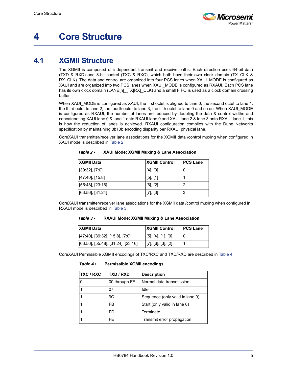

## <span id="page-9-0"></span>**4 Core Structure**

## <span id="page-9-1"></span>**4.1 XGMII Structure**

The XGMII is composed of independent transmit and receive paths. Each direction uses 64-bit data (TXD & RXD) and 8-bit control (TXC & RXC), which both have their own clock domain (TX\_CLK & RX\_CLK). The data and control are organized into four PCS lanes when XAUI\_MODE is configured as XAUI and are organized into two PCS lanes when XAUI\_MODE is configured as RXAUI. Each PCS lane has its own clock domain (LANE[n] [TX|RX] CLK) and a small FIFO is used as a clock domain crossing buffer.

When XAUI\_MODE is configured as XAUI, the first octet is aligned to lane 0, the second octet to lane 1, the third octet to lane 2, the fourth octet to lane 3, the fifth octet to lane 0 and so on. When XAUI\_MODE is configured as RXAUI, the number of lanes are reduced by doubling the data & control widths and concatenating XAUI lane 0 & lane 1 onto RXAUI lane 0 and XAUI lane 2 & lane 3 onto RXAUI lane 1, this is how the reduction of lanes is achieved. RXAUI configuration complies with the Dune Networks specification by maintaining 8b10b encoding disparity per RXAUI physical lane.

CoreXAUI transmitter/receiver lane associations for the XGMII data /control muxing when configured in XAUI mode is described in [Table 2](#page-9-2):

| <b>XGMII Data</b>   | <b>XGMII Control</b> | <b>PCS Lane</b> |
|---------------------|----------------------|-----------------|
| $[39:32]$ , $[7:0]$ | $[4]$ , $[0]$        |                 |
| $[47:40]$ , [15:8]  | $[5]$ , $[1]$        |                 |
| $[55:48]$ , [23:16] | $[6]$ , $[2]$        |                 |
| $[63:56]$ , [31:24] | [7], [3]             | 3               |

<span id="page-9-2"></span>*Table 2 •* **XAUI Mode: XGMII Muxing & Lane Association**

CoreXAUI transmitter/receiver lane associations for the XGMII data /control muxing when configured in RXAUI mode is described in [Table 3:](#page-9-3)

<span id="page-9-3"></span>*Table 3 •* **RXAUI Mode: XGMII Muxing & Lane Association**

| <b>IXGMII Data</b>                    | <b>XGMII Control</b>          | <b>IPCS Lane</b> |
|---------------------------------------|-------------------------------|------------------|
| $[47:40]$ , [39:32], [15:8], [7:0]    | $[5]$ , [4], [1], [0]         | U                |
| $[63:56]$ , [55:48], [31:24], [23:16] | $[7]$ , $[6]$ , $[3]$ , $[2]$ |                  |

CoreXAUI Permissible XGMII encodings of TXC/RXC and TXD/RXD are described in [Table 4](#page-9-4):

#### <span id="page-9-4"></span>*Table 4 •* **Permissible XGMII encodings**

| <b>TXC / RXC</b> | TXD / RXD     | <b>Description</b>              |
|------------------|---------------|---------------------------------|
|                  | 00 through FF | Normal data transmission        |
|                  | 07            | Idle                            |
|                  | 9C            | Sequence (only valid in lane 0) |
|                  | FB.           | Start (only valid in lane 0)    |
|                  | FD            | Terminate                       |
|                  | FF.           | Transmit error propagation      |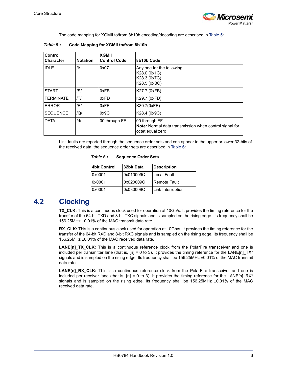

The code mapping for XGMII to/from 8b10b encoding/decoding are described in [Table 5](#page-10-1):

| Control<br><b>Character</b> | <b>Notation</b> | <b>XGMII</b><br><b>Control Code</b> | 8b10b Code                                                                                         |
|-----------------------------|-----------------|-------------------------------------|----------------------------------------------------------------------------------------------------|
| <b>IIDLE</b>                | /1/             | 0x07                                | Any one for the following:<br>K28.0 (0x1C)<br>K28.3 (0x7C)<br>K28.5 (0xBC)                         |
| <b>START</b>                | /S/             | 0xFB                                | K27.7 (0xFB)                                                                                       |
| <b>TERMINATE</b>            | /T/             | 0xFD                                | K29.7 (0xFD)                                                                                       |
| <b>ERROR</b>                | /E/             | 0xFE                                | K30.7(0xFE)                                                                                        |
| <b>SEQUENCE</b>             | $\overline{Q}$  | 0x9C                                | K28.4 (0x9C)                                                                                       |
| <b>DATA</b>                 | /d/             | 00 through FF                       | 00 through FF<br><b>Note:</b> Normal data transmission when control signal for<br>octet equal zero |

<span id="page-10-1"></span>*Table 5 •* **Code Mapping for XGMII to/from 8b10b**

Link faults are reported through the sequence order sets and can appear in the upper or lower 32-bits of the received data, the sequence order sets are described in [Table 6](#page-10-2):

<span id="page-10-2"></span>*Table 6 •* **Sequence Order Sets**

| <b>4bit Control</b> | 32bit Data | <b>Description</b> |
|---------------------|------------|--------------------|
| 0x0001              | 0x010009C  | Local Fault        |
| 0x0001              | 0x020009C  | Remote Fault       |
| 0x0001              | 0x030009C  | Link Interruption  |

## <span id="page-10-0"></span>**4.2 Clocking**

**TX\_CLK:** This is a continuous clock used for operation at 10Gb/s. It provides the timing reference for the transfer of the 64-bit TXD and 8-bit TXC signals and is sampled on the rising edge. Its frequency shall be 156.25MHz ±0.01% of the MAC transmit data rate.

**RX\_CLK:** This is a continuous clock used for operation at 10Gb/s. It provides the timing reference for the transfer of the 64-bit RXD and 8-bit RXC signals and is sampled on the rising edge. Its frequency shall be 156.25MHz ±0.01% of the MAC received data rate.

**LANE[n]\_TX\_CLK:** This is a continuous reference clock from the PolarFire transceiver and one is included per transmitter lane (that is,  $[n] = 0$  to 3). It provides the timing reference for the LANE[n] TX<sup>\*</sup> signals and is sampled on the rising edge. Its frequency shall be 156.25MHz ±0.01% of the MAC transmit data rate.

LANE[n]\_RX\_CLK: This is a continuous reference clock from the PolarFire transceiver and one is included per receiver lane (that is,  $[n] = 0$  to 3). It provides the timing reference for the LANE $[n]$  RX<sup>\*</sup> signals and is sampled on the rising edge. Its frequency shall be 156.25MHz ±0.01% of the MAC received data rate.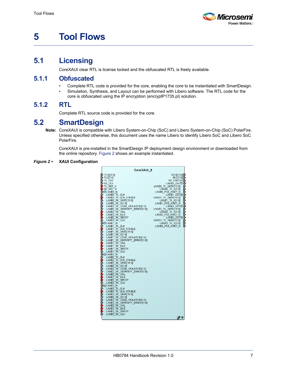

# <span id="page-11-0"></span>**5 Tool Flows**

## <span id="page-11-1"></span>**5.1 Licensing**

CoreXAUI clear RTL is license locked and the obfuscated RTL is freely available.

#### <span id="page-11-2"></span>**5.1.1 Obfuscated**

- Complete RTL code is provided for the core, enabling the core to be instantiated with SmartDesign.
- Simulation, Synthesis, and Layout can be performed with Libero software. The RTL code for the core is obfuscated using the IP encryption (encryptP1735.pl) solution.

### <span id="page-11-3"></span>**5.1.2 RTL**

Complete RTL source code is provided for the core.

## <span id="page-11-4"></span>**5.2 SmartDesign**

**Note:** CoreXAUI is compatible with Libero System-on-Chip (SoC) and Libero System-on-Chip (SoC) PolarFire. Unless specified otherwise, this document uses the name Libero to identify Libero SoC and Libero SoC PolarFire.

CoreXAUI is pre-installed in the SmartDesign IP deployment design environment or downloaded from the online repository. [Figure 2](#page-11-5) shows an example instantiated.

#### <span id="page-11-5"></span>*Figure 2 •* **XAUI Configuration**

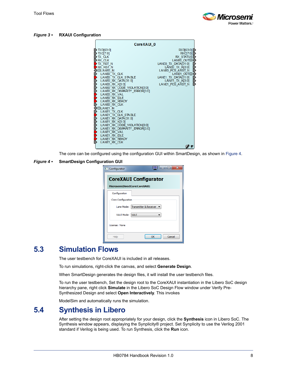

#### <span id="page-12-2"></span>*Figure 3 •* **RXAUI Configuration**



The core can be configured using the configuration GUI within SmartDesign, as shown in [Figure 4.](#page-12-3)

#### <span id="page-12-3"></span>*Figure 4 •* **SmartDesign Configuration GUI**

| <b>Configurator</b>            | $\overline{\mathbf{x}}$<br>ه د    |
|--------------------------------|-----------------------------------|
|                                | <b>CoreXAUI Configurator</b>      |
| Microsemi:DirectCore:CoreXAUI: |                                   |
| Configuration                  |                                   |
| Core Configuration             |                                   |
|                                | Lane Mode: Transmitter & Receiver |
| XAUI Mode:                     | <b>XAUI</b>                       |
| License: None                  |                                   |
| Help                           | Cancel<br>OK                      |

## <span id="page-12-0"></span>**5.3 Simulation Flows**

The user testbench for CoreXAUI is included in all releases.

To run simulations, right-click the canvas, and select **Generate Design**.

When SmartDesign generates the design files, it will install the user testbench files.

To run the user testbench, Set the design root to the CoreXAUI instantiation in the Libero SoC design hierarchy pane, right click **Simulate** in the Libero SoC Design Flow window under Verify Pre-Synthesized Design and select **Open Interactively**. This invokes

ModelSim and automatically runs the simulation.

## <span id="page-12-1"></span>**5.4 Synthesis in Libero**

After setting the design root appropriately for your design, click the **Synthesis** icon in Libero SoC. The Synthesis window appears, displaying the Synplicity® project. Set Synplicity to use the Verilog 2001 standard if Verilog is being used. To run Synthesis, click the **Run** icon.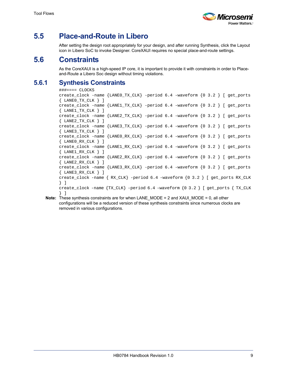

## <span id="page-13-0"></span>**5.5 Place-and-Route in Libero**

After setting the design root appropriately for your design, and after running Synthesis, click the Layout icon in Libero SoC to invoke Designer. CoreXAUI requires no special place-and-route settings.

## <span id="page-13-1"></span>**5.6 Constraints**

As the CoreXAUI is a high-speed IP core, it is important to provide it with constraints in order to Placeand-Route a Libero Soc design without timing violations.

### <span id="page-13-2"></span>**5.6.1 Synthesis Constraints**

```
###==== CLOCKS
create_clock -name {LANE0_TX_CLK} -period 6.4 -waveform {0 3.2 } [ get_ports 
{ LANE0_TX_CLK } ]
create_clock -name {LANE1_TX_CLK} -period 6.4 -waveform {0 3.2 } [ get_ports 
{ LANE1_TX_CLK } ]
create_clock -name {LANE2_TX_CLK} -period 6.4 -waveform {0 3.2 } [ get_ports 
{ LANE2_TX_CLK } ]
create_clock -name {LANE3_TX_CLK} -period 6.4 -waveform {0 3.2 } [ get_ports 
{ LANE3_TX_CLK } ]
create_clock -name {LANE0_RX_CLK} -period 6.4 -waveform {0 3.2 } [ get_ports 
{ LANE0_RX_CLK } ]
create_clock -name {LANE1_RX_CLK} -period 6.4 -waveform {0 3.2 } [ get_ports 
{ LANE1_RX_CLK } ]
create_clock -name {LANE2_RX_CLK} -period 6.4 -waveform {0 3.2 } [ get_ports 
{ LANE2_RX_CLK } ]
create_clock -name {LANE3_RX_CLK} -period 6.4 -waveform {0 3.2 } [ get_ports 
{ LANE3_RX_CLK } ]
create_clock -name { RX_CLK} -period 6.4 -waveform {0 3.2 } [ get_ports RX_CLK 
} ]
create_clock -name {TX_CLK} -period 6.4 -waveform {0 3.2 } [ get_ports { TX_CLK 
} ]
```
**Note:** These synthesis constraints are for when LANE\_MODE = 2 and XAUI\_MODE = 0, all other configurations will be a reduced version of these synthesis constraints since numerous clocks are removed in various configurations.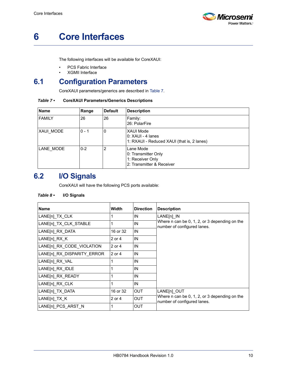

# <span id="page-14-0"></span>**6 Core Interfaces**

The following interfaces will be available for CoreXAUI:

- PCS Fabric Interface
- XGMII Interface

## <span id="page-14-1"></span>**6.1 Configuration Parameters**

CoreXAUI parameters/generics are described in [Table 7.](#page-14-3)

#### <span id="page-14-3"></span>*Table 7 •* **CoreXAUI Parameters/Generics Descriptions**

| <b>Name</b>   | Range        | <b>Default</b> | <b>Description</b>                                                                  |
|---------------|--------------|----------------|-------------------------------------------------------------------------------------|
| <b>FAMILY</b> | 26<br>26     |                | Family:<br>26: PolarFire                                                            |
| XAUI MODE     | $0 - 1$<br>0 |                | <b>XAUI Mode</b><br>0: XAUI - 4 Ianes<br>1: RXAUI - Reduced XAUI (that is, 2 lanes) |
| LANE MODE     | $0 - 2$      | 2              | Lane Mode<br>0: Transmitter Only<br>1: Receiver Only<br>2: Transmitter & Receiver   |

## <span id="page-14-2"></span>**6.2 I/O Signals**

CoreXAUI will have the following PCS ports available:

#### <span id="page-14-4"></span>*Table 8 •* **I/O Signals**

| <b>Name</b>                | Width      | <b>Direction</b> | <b>Description</b>                                                           |
|----------------------------|------------|------------------|------------------------------------------------------------------------------|
| LANE[n] TX CLK             |            | IN               | LANE[n] IN                                                                   |
| LANE[n] TX CLK STABLE      | 1          | IN               | Where n can be 0, 1, 2, or 3 depending on the<br>number of configured lanes. |
| LANE[n]_RX_DATA            | 16 or 32   | IN               |                                                                              |
| LANE[n]_RX_K               | $2$ or $4$ | IN               |                                                                              |
| LANE[n] RX CODE VIOLATION  | 2 or 4     | IN               |                                                                              |
| LANE[n] RX DISPARITY ERROR | 2 or 4     | IN               |                                                                              |
| LANE[n] RX VAL             |            | IN               |                                                                              |
| LANE[n] RX IDLE            |            | IN               |                                                                              |
| LANE[n] RX READY           |            | IN               |                                                                              |
| LANE[n] RX CLK             |            | IN               |                                                                              |
| LANE[n]_TX_DATA            | 16 or 32   | <b>OUT</b>       | LANE[n] OUT                                                                  |
| LANE[n]_TX_K               | 2 or 4     | <b>OUT</b>       | Where n can be 0, 1, 2, or 3 depending on the<br>number of configured lanes. |
| LANE[n] PCS ARST N         |            | <b>OUT</b>       |                                                                              |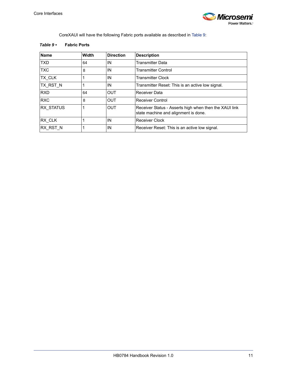

CoreXAUI will have the following Fabric ports available as described in [Table 9](#page-15-0):

<span id="page-15-0"></span>

|  | Table $9\cdot$ |  | <b>Fabric Ports</b> |
|--|----------------|--|---------------------|
|--|----------------|--|---------------------|

| Name             | <b>Width</b> | <b>Direction</b> | <b>Description</b>                                                                             |
|------------------|--------------|------------------|------------------------------------------------------------------------------------------------|
| <b>TXD</b>       | 64           | IN               | Transmitter Data                                                                               |
| <b>TXC</b>       | 8            | IN               | <b>Transmitter Control</b>                                                                     |
| <b>TX CLK</b>    |              | IN               | <b>Transmitter Clock</b>                                                                       |
| TX RST N         |              | IN               | Transmitter Reset: This is an active low signal.                                               |
| <b>RXD</b>       | 64           | <b>OUT</b>       | Receiver Data                                                                                  |
| <b>RXC</b>       | 8            | <b>OUT</b>       | <b>Receiver Control</b>                                                                        |
| <b>RX STATUS</b> |              | <b>OUT</b>       | Receiver Status - Asserts high when then the XAUI link<br>state machine and alignment is done. |
| RX CLK           |              | IN               | <b>Receiver Clock</b>                                                                          |
| <b>RX RST N</b>  |              | IN               | Receiver Reset: This is an active low signal.                                                  |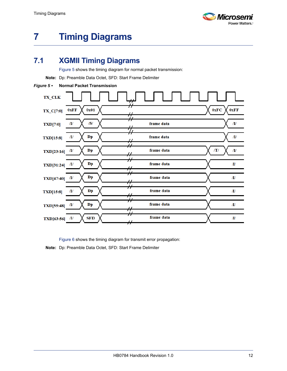

# <span id="page-16-0"></span>**7 Timing Diagrams**

## <span id="page-16-1"></span>**7.1 XGMII Timing Diagrams**

[Figure 5](#page-16-2) shows the timing diagram for normal packet transmission:

**Note:** Dp: Preamble Data Octet, SFD: Start Frame Delimiter

#### <span id="page-16-2"></span>*Figure 5 •* **Normal Packet Transmission**

| TX_CLK<br>#                                                                        |                                                   |
|------------------------------------------------------------------------------------|---------------------------------------------------|
| 0x01<br>0xFF<br>$TX_C[7:0]$<br>₩                                                   | 0xFC<br>0xFF                                      |
| /S/<br>/I<br><b>TXD[7:0]</b><br>77                                                 | Л/<br>frame data                                  |
| $\mathbf{D}\mathbf{p}$<br>Л/<br><b>TXD[15:8]</b><br>┮                              | $I\hspace{-0.1cm}I\hspace{-0.1cm}I$<br>frame data |
| $\overline{\mathcal{H}}$<br>Dp<br>$\pi$<br>TXD[23:16]                              | frame data<br>/T/<br>/I                           |
| $^{\rm \prime\prime}$<br>$\mathbf{D}\mathbf{p}$<br>/I<br>TXD[31:24]<br>$\sharp$    | frame data<br>/I                                  |
| $\mathbf{D}\mathbf{p}$<br>/I<br><b>TXD[47:40]</b>                                  | frame data<br>/I                                  |
| $\sharp$<br>$\mathbf{D}\mathbf{p}$<br>/I<br><b>TXD[15:8]</b><br>$\sharp$           | frame data<br>ЛJ                                  |
| $\mathbf{D}\mathbf{p}$<br>$\pi$<br><b>TXD[55:48]</b><br>$\boldsymbol{\mathcal{H}}$ | frame data<br>/I                                  |
| Н<br><b>SFD</b><br>$\mathbf{u}$<br>TXD[63:56]<br>$\overline{H}$                    | frame data<br>/I                                  |

[Figure 6](#page-17-0) shows the timing diagram for transmit error propagation:

**Note:** Dp: Preamble Data Octet, SFD: Start Frame Delimiter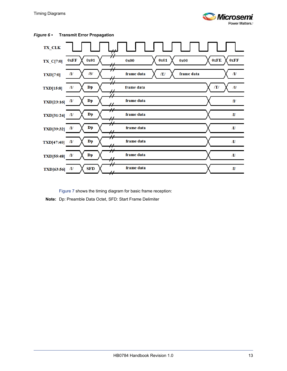

| TX_CLK<br>₩.                                                                                |                                 |              |
|---------------------------------------------------------------------------------------------|---------------------------------|--------------|
| $\hat{\bm{\mathcal{H}}}$<br>0x01<br>0xFF<br>$TX_C[7:0]$<br>⊬                                | 0x01<br>0x00<br>0x00            | 0xFE<br>0xFF |
| $\dot{\mathcal{H}}$<br>/S/<br>/I<br><b>TXD[7:0]</b><br>$\#$                                 | frame data<br>frame data<br>/E/ | Л/           |
| $\mathbf{D}\mathbf{p}$<br>Л/<br><b>TXD[15:8]</b><br>$\sharp$                                | frame data                      | /T/<br>$\pi$ |
| $\mathbf{D}\mathbf{p}$<br>/I<br>TXD[23:16]<br>,,                                            | frame data                      | /I           |
| ,,<br>77<br>$\mathbf{D}\mathbf{p}$<br>/I<br>TXD[31:24]<br>$\pmb{\mathcal{H}}$               | frame data                      | /I/          |
| $^{\prime}$<br>77<br>$\mathbf{D}\mathbf{p}$<br>/I<br>TXD[39:32]<br>₩                        | frame data                      | /I           |
| $\boldsymbol{\dot{\mathcal{H}}}$<br>$\mathbf{D}\mathbf{p}$<br><b>TXD[47:40]</b><br>/I<br>77 | frame data                      | /I           |
| $^{\prime}$<br>$\mathbf{D}\mathbf{p}$<br>/I<br><b>TXD[55:48]</b><br>#                       | frame data                      | ЛI           |
| Н<br><b>SFD</b><br>/I<br>TXD[63:56]                                                         | frame data                      | $\pi$        |

<span id="page-17-0"></span>*Figure 6 •* **Transmit Error Propagation**

[Figure 7](#page-18-0) shows the timing diagram for basic frame reception:

**Note:** Dp: Preamble Data Octet, SFD: Start Frame Delimiter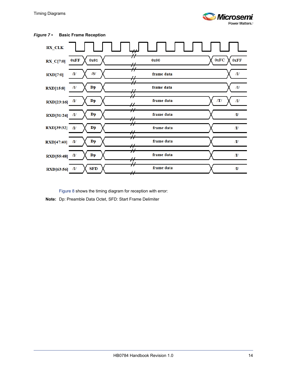



<span id="page-18-0"></span>*Figure 7 •* **Basic Frame Reception**

[Figure 8](#page-19-0) shows the timing diagram for reception with error: **Note:** Dp: Preamble Data Octet, SFD: Start Frame Delimiter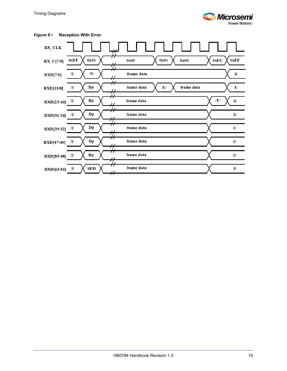

| iure 8 ∙                                 | <b>Reception With Error</b>  |                                                                 |                                     |
|------------------------------------------|------------------------------|-----------------------------------------------------------------|-------------------------------------|
| <b>RX_CLK</b>                            |                              | 77                                                              |                                     |
| $RX_C[7:0]$                              | 0x01<br>0xFF                 | 0x01<br>0x00<br>0x00<br>$\pmb{\mathcal{H}}$                     | 0xFF<br>0xFC                        |
| $\mathbf{R} \mathbf{X} \mathbf{D} [7:0]$ | /S/<br>ЛJ                    | ₩<br>frame data                                                 | $\boldsymbol{\Pi}$                  |
| <b>RXD[15:8]</b>                         | $\mathbf{D}\mathbf{p}$<br>/I | $\pmb{\mathcal{H}}$<br>frame data<br>frame data<br>/E/<br>$\mu$ | $I\hspace{-0.1cm}I\hspace{-0.1cm}I$ |
| RXD[23:16]                               | $\mathbf{D}\mathbf{p}$<br>Л/ | $\mu$<br>frame data<br>#                                        | /T/<br>/I                           |
| RXD[31:24]                               | ${\bf D} {\bf p}$<br>/I      | $\pmb{\mathcal{H}}$<br>frame data<br>₩                          | /I                                  |
| <b>RXD[39:32]</b>                        | $\mathbf{D}\mathbf{p}$<br>/I | $\dot{\mathcal{H}}$<br>frame data<br>$\overline{H}$             | /I                                  |
| <b>RXD[47:40]</b>                        | $\mathbf{D}\mathbf{p}$<br>/I | $\dot{\mathcal{H}}$<br>frame data<br>#                          | /I                                  |
| <b>RXD[55:48]</b>                        | $\mathbf{D}\mathbf{p}$<br>/I | Ĥ<br>frame data<br>$\boldsymbol{\mathcal{H}}$                   | ЛJ                                  |
| RXD[63:56]                               | <b>SFD</b><br>/I/            | Ĥ<br>frame data<br>77                                           | /I                                  |

### <span id="page-19-0"></span>**Figure 8 •** Reception With E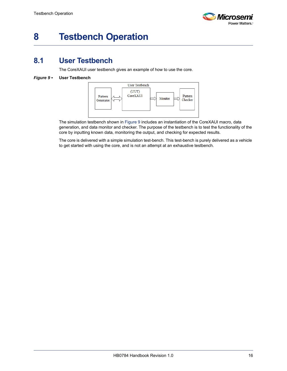

# <span id="page-20-0"></span>**8 Testbench Operation**

## <span id="page-20-1"></span>**8.1 User Testbench**

The CoreXAUI user testbench gives an example of how to use the core.

#### <span id="page-20-2"></span>*Figure 9 •* **User Testbench**



The simulation testbench shown in [Figure 9](#page-20-2) includes an instantiation of the CoreXAUI macro, data generation, and data monitor and checker. The purpose of the testbench is to test the functionality of the core by inputting known data, monitoring the output, and checking for expected results.

The core is delivered with a simple simulation test-bench. This test-bench is purely delivered as a vehicle to get started with using the core, and is not an attempt at an exhaustive testbench.